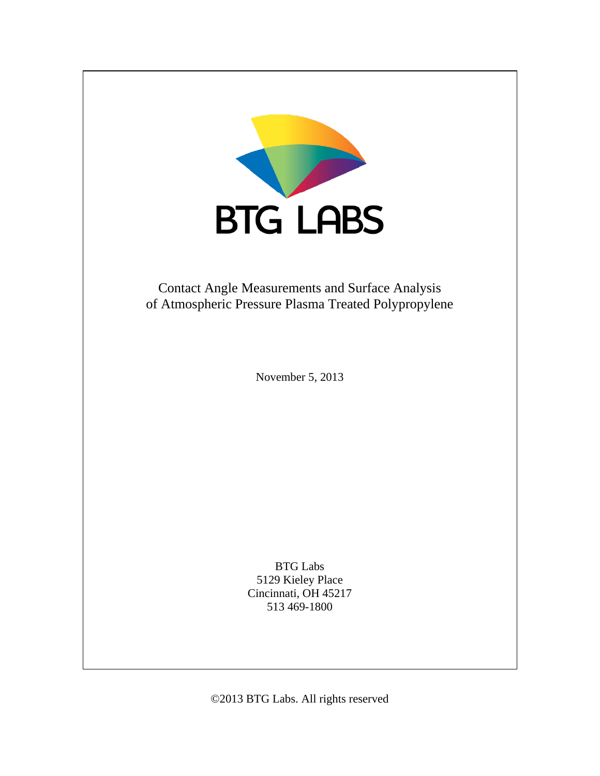

©2013 BTG Labs. All rights reserved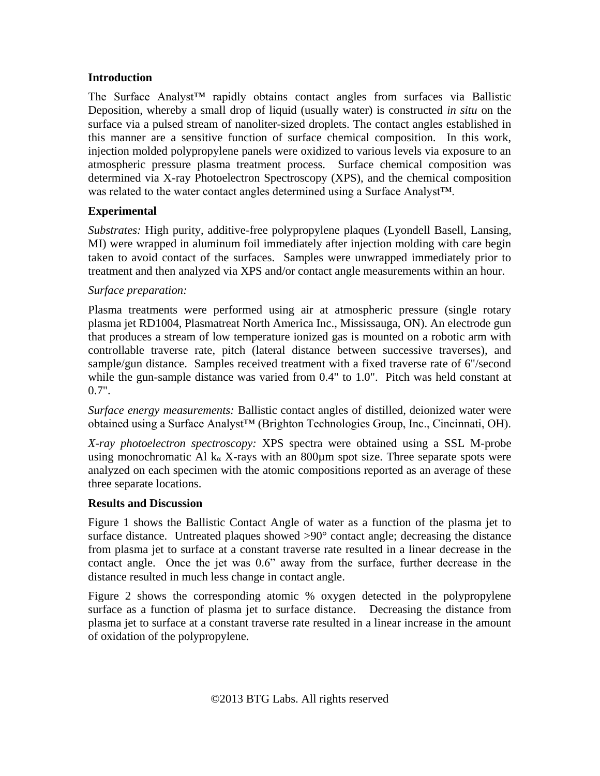# **Introduction**

The Surface Analyst™ rapidly obtains contact angles from surfaces via Ballistic Deposition, whereby a small drop of liquid (usually water) is constructed *in situ* on the surface via a pulsed stream of nanoliter-sized droplets. The contact angles established in this manner are a sensitive function of surface chemical composition. In this work, injection molded polypropylene panels were oxidized to various levels via exposure to an atmospheric pressure plasma treatment process. Surface chemical composition was determined via X-ray Photoelectron Spectroscopy (XPS), and the chemical composition was related to the water contact angles determined using a Surface Analyst™.

## **Experimental**

*Substrates:* High purity, additive-free polypropylene plaques (Lyondell Basell, Lansing, MI) were wrapped in aluminum foil immediately after injection molding with care begin taken to avoid contact of the surfaces. Samples were unwrapped immediately prior to treatment and then analyzed via XPS and/or contact angle measurements within an hour.

### *Surface preparation:*

Plasma treatments were performed using air at atmospheric pressure (single rotary plasma jet RD1004, Plasmatreat North America Inc., Mississauga, ON). An electrode gun that produces a stream of low temperature ionized gas is mounted on a robotic arm with controllable traverse rate, pitch (lateral distance between successive traverses), and sample/gun distance. Samples received treatment with a fixed traverse rate of 6"/second while the gun-sample distance was varied from 0.4" to 1.0". Pitch was held constant at  $0.7"$ .

*Surface energy measurements:* Ballistic contact angles of distilled, deionized water were obtained using a Surface Analyst™ (Brighton Technologies Group, Inc., Cincinnati, OH).

*X-ray photoelectron spectroscopy:* XPS spectra were obtained using a SSL M-probe using monochromatic Al  $k_{\alpha}$  X-rays with an 800 $\mu$ m spot size. Three separate spots were analyzed on each specimen with the atomic compositions reported as an average of these three separate locations.

### **Results and Discussion**

Figure 1 shows the Ballistic Contact Angle of water as a function of the plasma jet to surface distance. Untreated plaques showed >90° contact angle; decreasing the distance from plasma jet to surface at a constant traverse rate resulted in a linear decrease in the contact angle. Once the jet was 0.6" away from the surface, further decrease in the distance resulted in much less change in contact angle.

Figure 2 shows the corresponding atomic % oxygen detected in the polypropylene surface as a function of plasma jet to surface distance. Decreasing the distance from plasma jet to surface at a constant traverse rate resulted in a linear increase in the amount of oxidation of the polypropylene.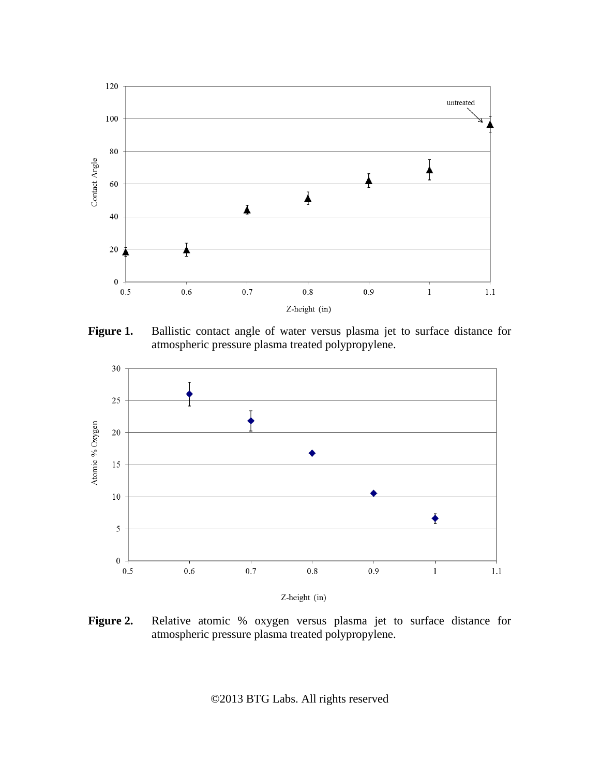

Figure 1. Ballistic contact angle of water versus plasma jet to surface distance for atmospheric pressure plasma treated polypropylene.



Z-height (in)

**Figure 2.** Relative atomic % oxygen versus plasma jet to surface distance for atmospheric pressure plasma treated polypropylene.

©2013 BTG Labs. All rights reserved